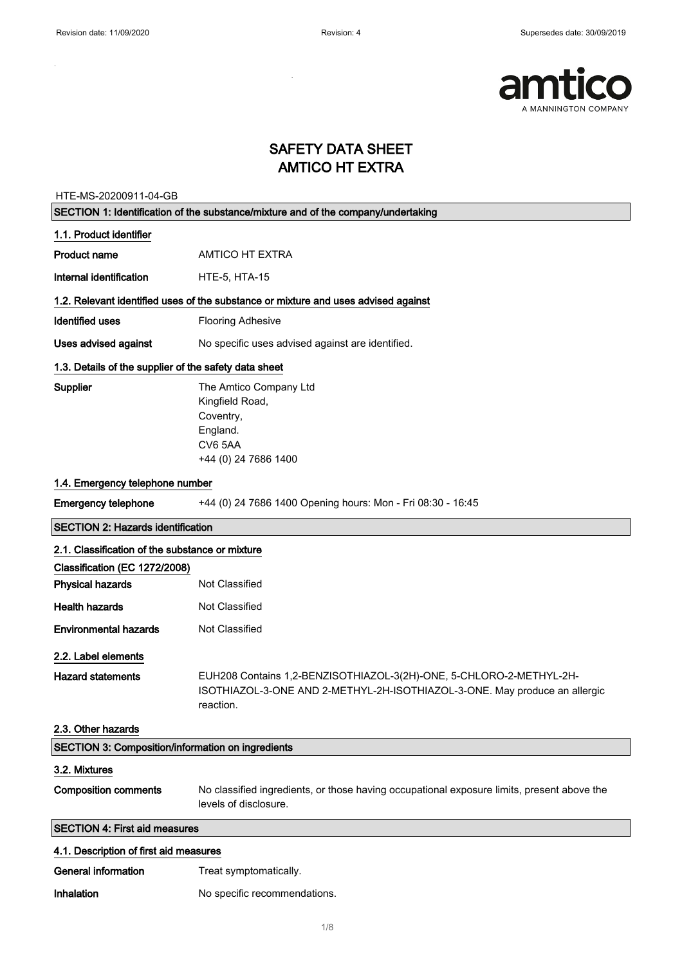$\sim$ 

÷,



### SAFETY DATA SHEET AMTICO HT EXTRA

HTE-MS-20200911-04-GB

| SECTION 1: Identification of the substance/mixture and of the company/undertaking |                                                                                                                                                                |
|-----------------------------------------------------------------------------------|----------------------------------------------------------------------------------------------------------------------------------------------------------------|
| 1.1. Product identifier                                                           |                                                                                                                                                                |
| Product name                                                                      | <b>AMTICO HT EXTRA</b>                                                                                                                                         |
| Internal identification                                                           | <b>HTE-5, HTA-15</b>                                                                                                                                           |
|                                                                                   | 1.2. Relevant identified uses of the substance or mixture and uses advised against                                                                             |
| <b>Identified uses</b>                                                            | <b>Flooring Adhesive</b>                                                                                                                                       |
| Uses advised against                                                              | No specific uses advised against are identified.                                                                                                               |
| 1.3. Details of the supplier of the safety data sheet                             |                                                                                                                                                                |
| Supplier                                                                          | The Amtico Company Ltd<br>Kingfield Road,<br>Coventry,<br>England.<br>CV65AA<br>+44 (0) 24 7686 1400                                                           |
| 1.4. Emergency telephone number                                                   |                                                                                                                                                                |
| <b>Emergency telephone</b>                                                        | +44 (0) 24 7686 1400 Opening hours: Mon - Fri 08:30 - 16:45                                                                                                    |
| <b>SECTION 2: Hazards identification</b>                                          |                                                                                                                                                                |
| 2.1. Classification of the substance or mixture                                   |                                                                                                                                                                |
| Classification (EC 1272/2008)                                                     |                                                                                                                                                                |
| <b>Physical hazards</b>                                                           | Not Classified                                                                                                                                                 |
| <b>Health hazards</b>                                                             | Not Classified                                                                                                                                                 |
| <b>Environmental hazards</b>                                                      | Not Classified                                                                                                                                                 |
| 2.2. Label elements                                                               |                                                                                                                                                                |
| <b>Hazard statements</b><br>2.3. Other hazards                                    | EUH208 Contains 1,2-BENZISOTHIAZOL-3(2H)-ONE, 5-CHLORO-2-METHYL-2H-<br>ISOTHIAZOL-3-ONE AND 2-METHYL-2H-ISOTHIAZOL-3-ONE. May produce an allergic<br>reaction. |
| <b>SECTION 3: Composition/information on ingredients</b>                          |                                                                                                                                                                |
| 3.2. Mixtures                                                                     |                                                                                                                                                                |
| <b>Composition comments</b>                                                       | No classified ingredients, or those having occupational exposure limits, present above the<br>levels of disclosure.                                            |
| <b>SECTION 4: First aid measures</b>                                              |                                                                                                                                                                |
| 4.1. Description of first aid measures                                            |                                                                                                                                                                |
| <b>General information</b>                                                        | Treat symptomatically.                                                                                                                                         |
| Inhalation                                                                        | No specific recommendations.                                                                                                                                   |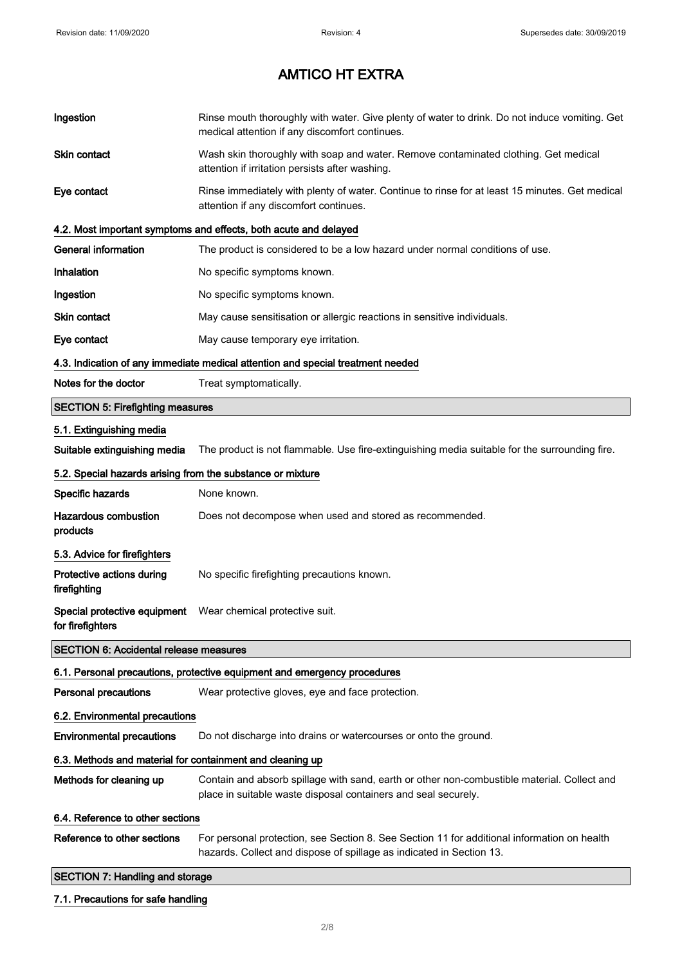| Ingestion                                                  | Rinse mouth thoroughly with water. Give plenty of water to drink. Do not induce vomiting. Get<br>medical attention if any discomfort continues.                     |
|------------------------------------------------------------|---------------------------------------------------------------------------------------------------------------------------------------------------------------------|
| Skin contact                                               | Wash skin thoroughly with soap and water. Remove contaminated clothing. Get medical<br>attention if irritation persists after washing.                              |
| Eye contact                                                | Rinse immediately with plenty of water. Continue to rinse for at least 15 minutes. Get medical<br>attention if any discomfort continues.                            |
|                                                            | 4.2. Most important symptoms and effects, both acute and delayed                                                                                                    |
| <b>General information</b>                                 | The product is considered to be a low hazard under normal conditions of use.                                                                                        |
| Inhalation                                                 | No specific symptoms known.                                                                                                                                         |
| Ingestion                                                  | No specific symptoms known.                                                                                                                                         |
| Skin contact                                               | May cause sensitisation or allergic reactions in sensitive individuals.                                                                                             |
| Eye contact                                                | May cause temporary eye irritation.                                                                                                                                 |
|                                                            | 4.3. Indication of any immediate medical attention and special treatment needed                                                                                     |
| Notes for the doctor                                       | Treat symptomatically.                                                                                                                                              |
| <b>SECTION 5: Firefighting measures</b>                    |                                                                                                                                                                     |
| 5.1. Extinguishing media                                   |                                                                                                                                                                     |
| Suitable extinguishing media                               | The product is not flammable. Use fire-extinguishing media suitable for the surrounding fire.                                                                       |
| 5.2. Special hazards arising from the substance or mixture |                                                                                                                                                                     |
| Specific hazards                                           | None known.                                                                                                                                                         |
| <b>Hazardous combustion</b><br>products                    | Does not decompose when used and stored as recommended.                                                                                                             |
| 5.3. Advice for firefighters                               |                                                                                                                                                                     |
| Protective actions during<br>firefighting                  | No specific firefighting precautions known.                                                                                                                         |
| Special protective equipment<br>for firefighters           | Wear chemical protective suit.                                                                                                                                      |
| <b>SECTION 6: Accidental release measures</b>              |                                                                                                                                                                     |
|                                                            | 6.1. Personal precautions, protective equipment and emergency procedures                                                                                            |
| <b>Personal precautions</b>                                | Wear protective gloves, eye and face protection.                                                                                                                    |
| 6.2. Environmental precautions                             |                                                                                                                                                                     |
| <b>Environmental precautions</b>                           | Do not discharge into drains or watercourses or onto the ground.                                                                                                    |
| 6.3. Methods and material for containment and cleaning up  |                                                                                                                                                                     |
| Methods for cleaning up                                    | Contain and absorb spillage with sand, earth or other non-combustible material. Collect and<br>place in suitable waste disposal containers and seal securely.       |
| 6.4. Reference to other sections                           |                                                                                                                                                                     |
| Reference to other sections                                | For personal protection, see Section 8. See Section 11 for additional information on health<br>hazards. Collect and dispose of spillage as indicated in Section 13. |
| <b>SECTION 7: Handling and storage</b>                     |                                                                                                                                                                     |
| 7.1. Precautions for safe handling                         |                                                                                                                                                                     |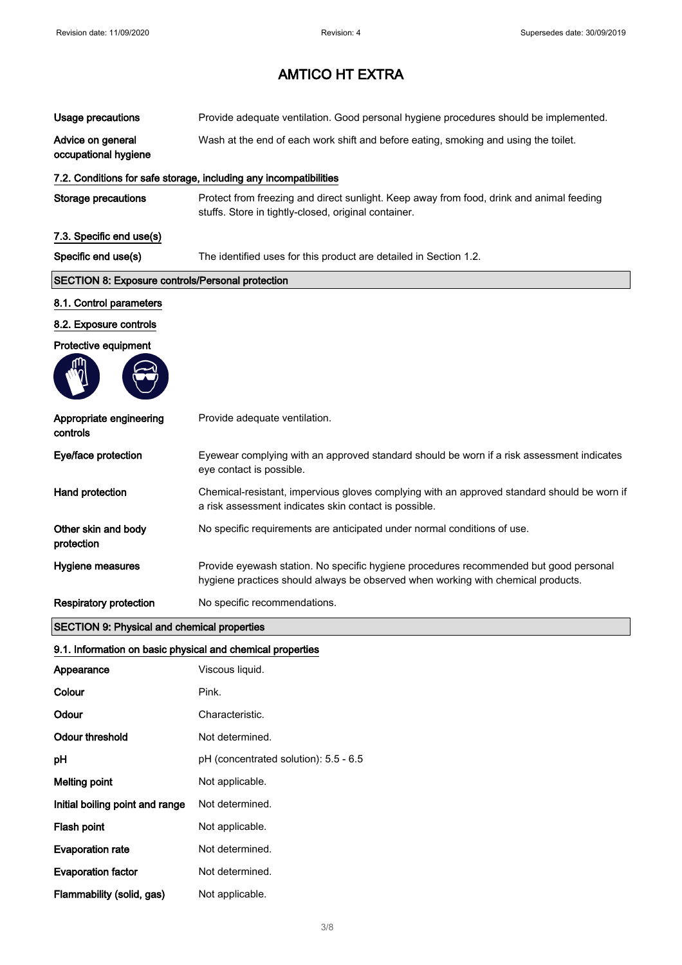| <b>Usage precautions</b>                                   | Provide adequate ventilation. Good personal hygiene procedures should be implemented.                                                                                     |
|------------------------------------------------------------|---------------------------------------------------------------------------------------------------------------------------------------------------------------------------|
| Advice on general<br>occupational hygiene                  | Wash at the end of each work shift and before eating, smoking and using the toilet.                                                                                       |
|                                                            | 7.2. Conditions for safe storage, including any incompatibilities                                                                                                         |
| <b>Storage precautions</b>                                 | Protect from freezing and direct sunlight. Keep away from food, drink and animal feeding<br>stuffs. Store in tightly-closed, original container.                          |
| 7.3. Specific end use(s)                                   |                                                                                                                                                                           |
| Specific end use(s)                                        | The identified uses for this product are detailed in Section 1.2.                                                                                                         |
| <b>SECTION 8: Exposure controls/Personal protection</b>    |                                                                                                                                                                           |
| 8.1. Control parameters                                    |                                                                                                                                                                           |
| 8.2. Exposure controls                                     |                                                                                                                                                                           |
| Protective equipment                                       |                                                                                                                                                                           |
|                                                            |                                                                                                                                                                           |
| Appropriate engineering<br>controls                        | Provide adequate ventilation.                                                                                                                                             |
| Eye/face protection                                        | Eyewear complying with an approved standard should be worn if a risk assessment indicates<br>eye contact is possible.                                                     |
| Hand protection                                            | Chemical-resistant, impervious gloves complying with an approved standard should be worn if<br>a risk assessment indicates skin contact is possible.                      |
| Other skin and body<br>protection                          | No specific requirements are anticipated under normal conditions of use.                                                                                                  |
| Hygiene measures                                           | Provide eyewash station. No specific hygiene procedures recommended but good personal<br>hygiene practices should always be observed when working with chemical products. |
| <b>Respiratory protection</b>                              | No specific recommendations.                                                                                                                                              |
| <b>SECTION 9: Physical and chemical properties</b>         |                                                                                                                                                                           |
| 9.1. Information on basic physical and chemical properties |                                                                                                                                                                           |
| Appearance                                                 | Viscous liquid.                                                                                                                                                           |
| Colour                                                     | Pink.                                                                                                                                                                     |
| Odour                                                      | Characteristic.                                                                                                                                                           |
| <b>Odour threshold</b>                                     | Not determined.                                                                                                                                                           |
| pH                                                         | pH (concentrated solution): 5.5 - 6.5                                                                                                                                     |
| <b>Melting point</b>                                       | Not applicable.                                                                                                                                                           |
| Initial boiling point and range                            | Not determined.                                                                                                                                                           |
| Flash point                                                | Not applicable.                                                                                                                                                           |
| <b>Evaporation rate</b>                                    | Not determined.                                                                                                                                                           |
| <b>Evaporation factor</b>                                  | Not determined.                                                                                                                                                           |

Flammability (solid, gas) Not applicable.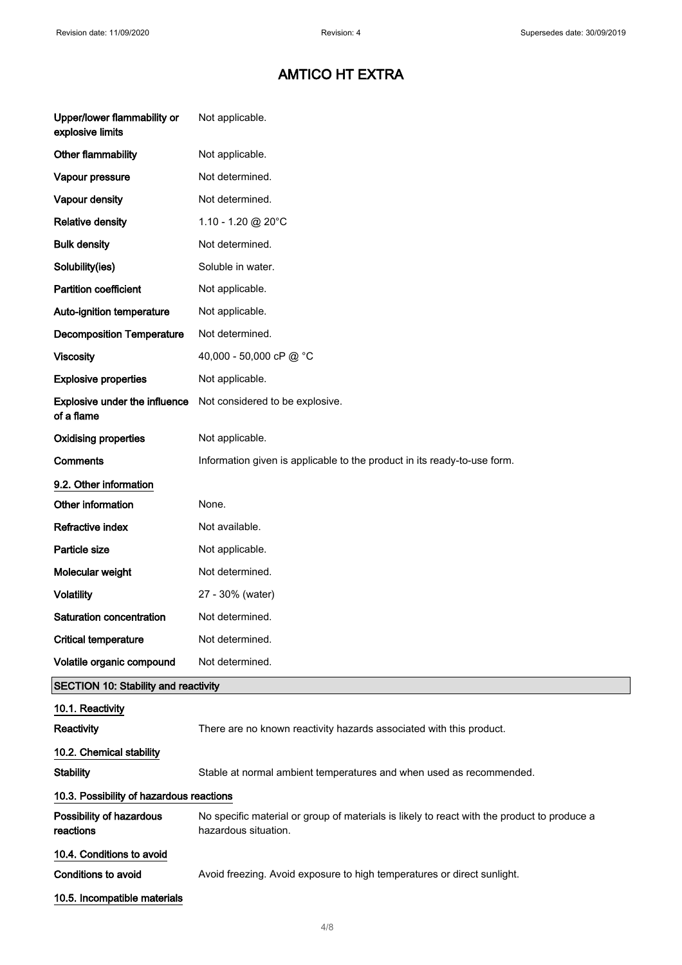| Upper/lower flammability or<br>explosive limits    | Not applicable.                                                                                                     |
|----------------------------------------------------|---------------------------------------------------------------------------------------------------------------------|
| Other flammability                                 | Not applicable.                                                                                                     |
| Vapour pressure                                    | Not determined.                                                                                                     |
| Vapour density                                     | Not determined.                                                                                                     |
| <b>Relative density</b>                            | 1.10 - 1.20 @ 20°C                                                                                                  |
| <b>Bulk density</b>                                | Not determined.                                                                                                     |
| Solubility(ies)                                    | Soluble in water.                                                                                                   |
| <b>Partition coefficient</b>                       | Not applicable.                                                                                                     |
| Auto-ignition temperature                          | Not applicable.                                                                                                     |
| <b>Decomposition Temperature</b>                   | Not determined.                                                                                                     |
| <b>Viscosity</b>                                   | 40,000 - 50,000 cP @ °C                                                                                             |
| <b>Explosive properties</b>                        | Not applicable.                                                                                                     |
| <b>Explosive under the influence</b><br>of a flame | Not considered to be explosive.                                                                                     |
| <b>Oxidising properties</b>                        | Not applicable.                                                                                                     |
| <b>Comments</b>                                    | Information given is applicable to the product in its ready-to-use form.                                            |
| 9.2. Other information                             |                                                                                                                     |
| Other information                                  | None.                                                                                                               |
| Refractive index                                   | Not available.                                                                                                      |
| Particle size                                      | Not applicable.                                                                                                     |
| Molecular weight                                   | Not determined.                                                                                                     |
| <b>Volatility</b>                                  | 27 - 30% (water)                                                                                                    |
| Saturation concentration                           | Not determined.                                                                                                     |
| <b>Critical temperature</b>                        | Not determined.                                                                                                     |
| Volatile organic compound                          | Not determined.                                                                                                     |
| <b>SECTION 10: Stability and reactivity</b>        |                                                                                                                     |
| 10.1. Reactivity                                   |                                                                                                                     |
| <b>Reactivity</b>                                  | There are no known reactivity hazards associated with this product.                                                 |
| 10.2. Chemical stability                           |                                                                                                                     |
| <b>Stability</b>                                   | Stable at normal ambient temperatures and when used as recommended.                                                 |
| 10.3. Possibility of hazardous reactions           |                                                                                                                     |
| Possibility of hazardous<br>reactions              | No specific material or group of materials is likely to react with the product to produce a<br>hazardous situation. |
| 10.4. Conditions to avoid                          |                                                                                                                     |
| <b>Conditions to avoid</b>                         | Avoid freezing. Avoid exposure to high temperatures or direct sunlight.                                             |
| 10.5. Incompatible materials                       |                                                                                                                     |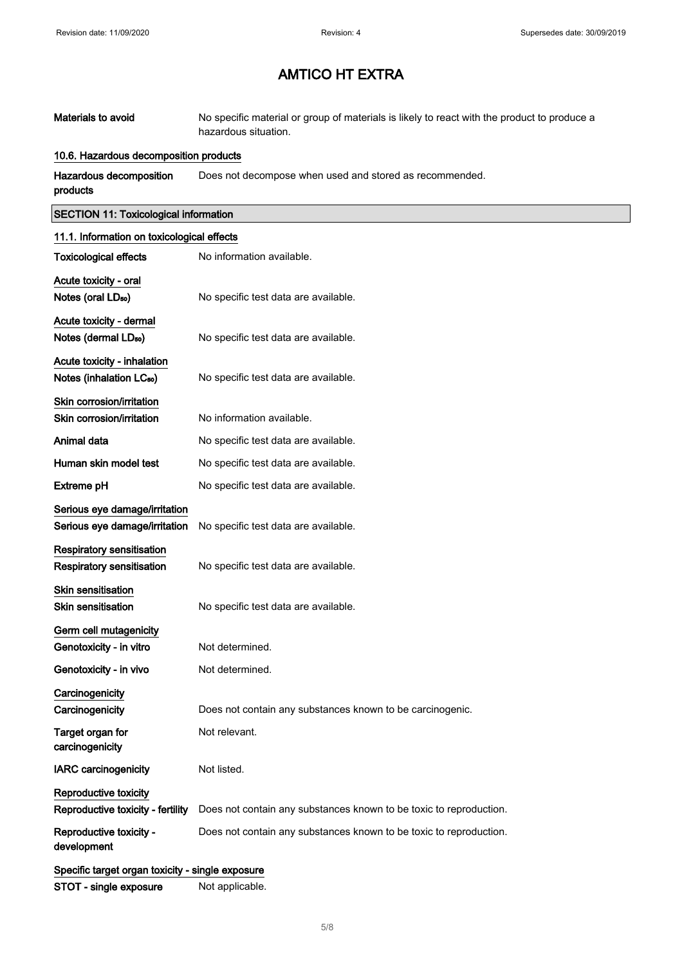| Materials to avoid | No specific material or group of materials is likely to react with the product to produce a |
|--------------------|---------------------------------------------------------------------------------------------|
|                    | hazardous situation.                                                                        |

#### 10.6. Hazardous decomposition products

Hazardous decomposition products Does not decompose when used and stored as recommended.

#### SECTION 11: Toxicological information

| 11.1. Information on toxicological effects       |                                                                    |
|--------------------------------------------------|--------------------------------------------------------------------|
| <b>Toxicological effects</b>                     | No information available.                                          |
| Acute toxicity - oral                            |                                                                    |
| Notes (oral LD <sub>50</sub> )                   | No specific test data are available.                               |
| Acute toxicity - dermal                          |                                                                    |
| Notes (dermal LDso)                              | No specific test data are available.                               |
| Acute toxicity - inhalation                      |                                                                    |
| Notes (inhalation LC <sub>50</sub> )             | No specific test data are available.                               |
| Skin corrosion/irritation                        |                                                                    |
| Skin corrosion/irritation                        | No information available.                                          |
| Animal data                                      | No specific test data are available.                               |
| Human skin model test                            | No specific test data are available.                               |
| Extreme pH                                       | No specific test data are available.                               |
| Serious eye damage/irritation                    |                                                                    |
| Serious eye damage/irritation                    | No specific test data are available.                               |
| <b>Respiratory sensitisation</b>                 |                                                                    |
| <b>Respiratory sensitisation</b>                 | No specific test data are available.                               |
| <b>Skin sensitisation</b>                        |                                                                    |
| <b>Skin sensitisation</b>                        | No specific test data are available.                               |
| Germ cell mutagenicity                           |                                                                    |
| Genotoxicity - in vitro                          | Not determined.                                                    |
| Genotoxicity - in vivo                           | Not determined.                                                    |
| Carcinogenicity                                  |                                                                    |
| Carcinogenicity                                  | Does not contain any substances known to be carcinogenic.          |
| Target organ for<br>carcinogenicity              | Not relevant.                                                      |
| <b>IARC</b> carcinogenicity                      | Not listed.                                                        |
| Reproductive toxicity                            |                                                                    |
| Reproductive toxicity - fertility                | Does not contain any substances known to be toxic to reproduction. |
| Reproductive toxicity -<br>development           | Does not contain any substances known to be toxic to reproduction. |
| Specific target organ toxicity - single exposure |                                                                    |

STOT - single exposure Not applicable.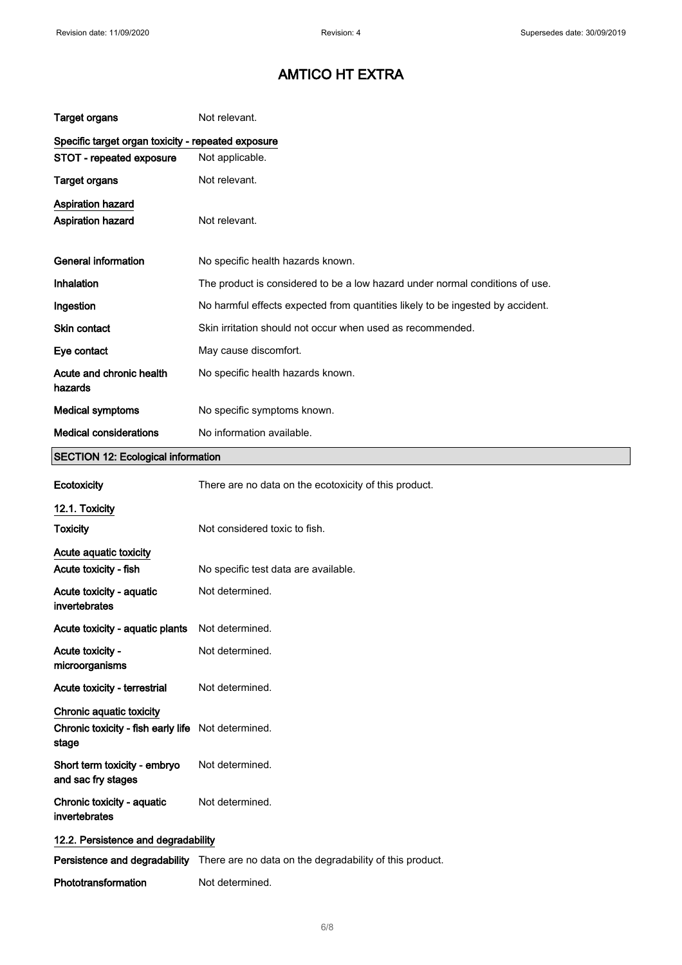| <b>Target organs</b>                                                    | Not relevant.                                                                         |
|-------------------------------------------------------------------------|---------------------------------------------------------------------------------------|
| Specific target organ toxicity - repeated exposure                      |                                                                                       |
| STOT - repeated exposure                                                | Not applicable.                                                                       |
| <b>Target organs</b>                                                    | Not relevant.                                                                         |
| <b>Aspiration hazard</b><br><b>Aspiration hazard</b>                    | Not relevant.                                                                         |
| <b>General information</b>                                              | No specific health hazards known.                                                     |
| <b>Inhalation</b>                                                       | The product is considered to be a low hazard under normal conditions of use.          |
| Ingestion                                                               | No harmful effects expected from quantities likely to be ingested by accident.        |
| Skin contact                                                            | Skin irritation should not occur when used as recommended.                            |
| Eye contact                                                             | May cause discomfort.                                                                 |
| Acute and chronic health<br>hazards                                     | No specific health hazards known.                                                     |
| <b>Medical symptoms</b>                                                 | No specific symptoms known.                                                           |
| <b>Medical considerations</b>                                           | No information available.                                                             |
| <b>SECTION 12: Ecological information</b>                               |                                                                                       |
| Ecotoxicity                                                             | There are no data on the ecotoxicity of this product.                                 |
| 12.1. Toxicity                                                          |                                                                                       |
| <b>Toxicity</b>                                                         | Not considered toxic to fish.                                                         |
| Acute aquatic toxicity                                                  |                                                                                       |
| Acute toxicity - fish                                                   | No specific test data are available.                                                  |
| Acute toxicity - aquatic<br>invertebrates                               | Not determined.                                                                       |
| Acute toxicity - aquatic plants                                         | Not determined.                                                                       |
| Acute toxicity -<br>microorganisms                                      | Not determined.                                                                       |
| Acute toxicity - terrestrial                                            | Not determined.                                                                       |
| Chronic aquatic toxicity<br>Chronic toxicity - fish early life<br>stage | Not determined.                                                                       |
| Short term toxicity - embryo<br>and sac fry stages                      | Not determined.                                                                       |
| Chronic toxicity - aquatic<br>invertebrates                             | Not determined.                                                                       |
| 12.2. Persistence and degradability                                     |                                                                                       |
|                                                                         | Persistence and degradability There are no data on the degradability of this product. |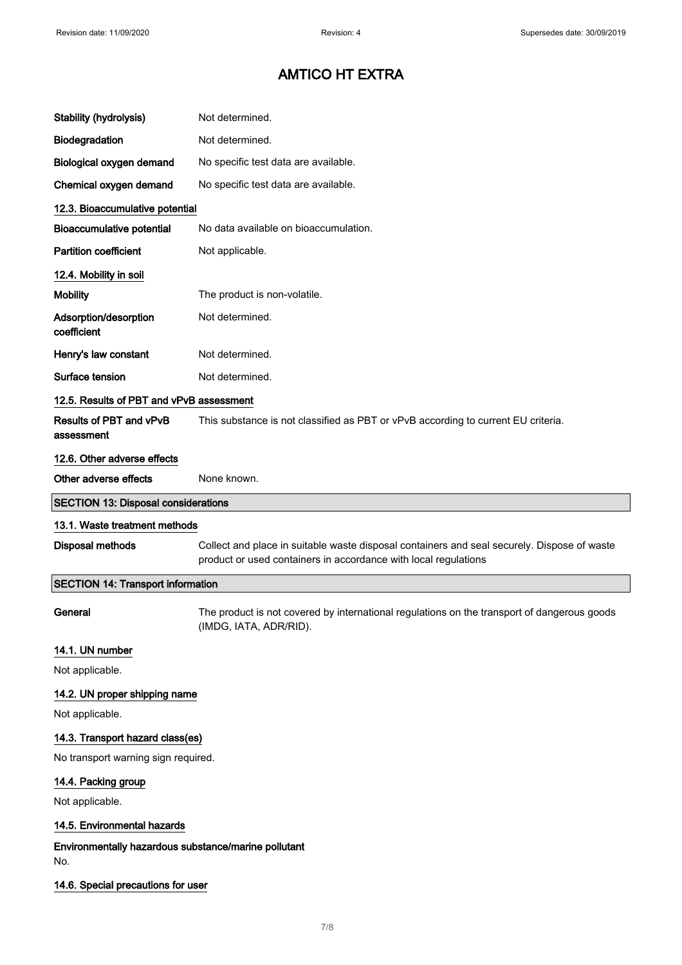| Stability (hydrolysis)                                      | Not determined.                                                                                                                                                |
|-------------------------------------------------------------|----------------------------------------------------------------------------------------------------------------------------------------------------------------|
| Biodegradation                                              | Not determined.                                                                                                                                                |
| Biological oxygen demand                                    | No specific test data are available.                                                                                                                           |
| Chemical oxygen demand                                      | No specific test data are available.                                                                                                                           |
| 12.3. Bioaccumulative potential                             |                                                                                                                                                                |
| <b>Bioaccumulative potential</b>                            | No data available on bioaccumulation.                                                                                                                          |
| <b>Partition coefficient</b>                                | Not applicable.                                                                                                                                                |
| 12.4. Mobility in soil                                      |                                                                                                                                                                |
| <b>Mobility</b>                                             | The product is non-volatile.                                                                                                                                   |
| Adsorption/desorption<br>coefficient                        | Not determined.                                                                                                                                                |
| Henry's law constant                                        | Not determined.                                                                                                                                                |
| Surface tension                                             | Not determined.                                                                                                                                                |
| 12.5. Results of PBT and vPvB assessment                    |                                                                                                                                                                |
| Results of PBT and vPvB<br>assessment                       | This substance is not classified as PBT or vPvB according to current EU criteria.                                                                              |
| 12.6. Other adverse effects                                 |                                                                                                                                                                |
| Other adverse effects                                       | None known.                                                                                                                                                    |
| <b>SECTION 13: Disposal considerations</b>                  |                                                                                                                                                                |
| 13.1. Waste treatment methods                               |                                                                                                                                                                |
| <b>Disposal methods</b>                                     | Collect and place in suitable waste disposal containers and seal securely. Dispose of waste<br>product or used containers in accordance with local regulations |
| <b>SECTION 14: Transport information</b>                    |                                                                                                                                                                |
| General                                                     | The product is not covered by international regulations on the transport of dangerous goods<br>(IMDG, IATA, ADR/RID).                                          |
| 14.1. UN number                                             |                                                                                                                                                                |
| Not applicable.                                             |                                                                                                                                                                |
| 14.2. UN proper shipping name                               |                                                                                                                                                                |
| Not applicable.                                             |                                                                                                                                                                |
| 14.3. Transport hazard class(es)                            |                                                                                                                                                                |
| No transport warning sign required.                         |                                                                                                                                                                |
| 14.4. Packing group                                         |                                                                                                                                                                |
| Not applicable.                                             |                                                                                                                                                                |
| 14.5. Environmental hazards                                 |                                                                                                                                                                |
|                                                             |                                                                                                                                                                |
| Environmentally hazardous substance/marine pollutant<br>No. |                                                                                                                                                                |